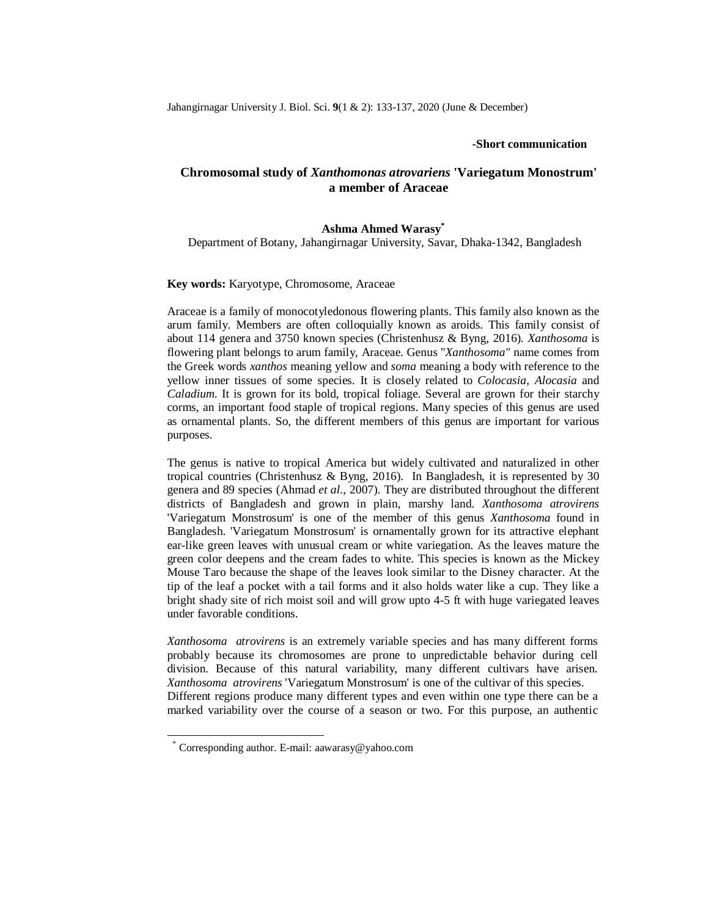## **-Short communication**

# **Chromosomal study of** *Xanthomonas atrovariens* **'Variegatum Monostrum' a member of Araceae**

# **Ashma Ahmed Warasy\***

Department of Botany, Jahangirnagar University, Savar, Dhaka-1342, Bangladesh

## **Key words:** Karyotype, Chromosome, Araceae

Araceae is a family of monocotyledonous flowering plants. This family also known as the arum family. Members are often colloquially known as aroids. This family consist of about 114 genera and 3750 known species (Christenhusz & Byng, 2016)*. Xanthosoma* is flowering plant belongs to arum family, Araceae. Genus "*Xanthosoma"* name comes from the Greek words *xanthos* meaning yellow and *soma* meaning a body with reference to the yellow inner tissues of some species. It is closely related to *Colocasia, Alocasia* and *Caladium*. It is grown for its bold, tropical foliage. Several are grown for their starchy corms, an important food staple of tropical regions. Many species of this genus are used as ornamental plants. So, the different members of this genus are important for various purposes.

The genus is native to tropical America but widely cultivated and naturalized in other tropical countries (Christenhusz & Byng, 2016). In Bangladesh, it is represented by 30 genera and 89 species (Ahmad *et al*., 2007). They are distributed throughout the different districts of Bangladesh and grown in plain, marshy land. *Xanthosoma atrovirens* 'Variegatum Monstrosum' is one of the member of this genus *Xanthosoma* found in Bangladesh. 'Variegatum Monstrosum' is ornamentally grown for its attractive elephant ear-like green leaves with unusual cream or white variegation. As the leaves mature the green color deepens and the cream fades to white. This species is known as the Mickey Mouse Taro because the shape of the leaves look similar to the Disney character. At the tip of the leaf a pocket with a tail forms and it also holds water like a cup. They like a bright shady site of rich moist soil and will grow upto 4-5 ft with huge variegated leaves under favorable conditions.

*Xanthosoma atrovirens* is an extremely variable species and has many different forms probably because its chromosomes are prone to unpredictable behavior during cell division. Because of this natural variability, many different cultivars have arisen. *Xanthosoma atrovirens* 'Variegatum Monstrosum' is one of the cultivar of this species. Different regions produce many different types and even within one type there can be a marked variability over the course of a season or two. For this purpose, an authentic

 $\overline{a}$ 

<sup>\*</sup> Corresponding author. E-mail: aawarasy@yahoo.com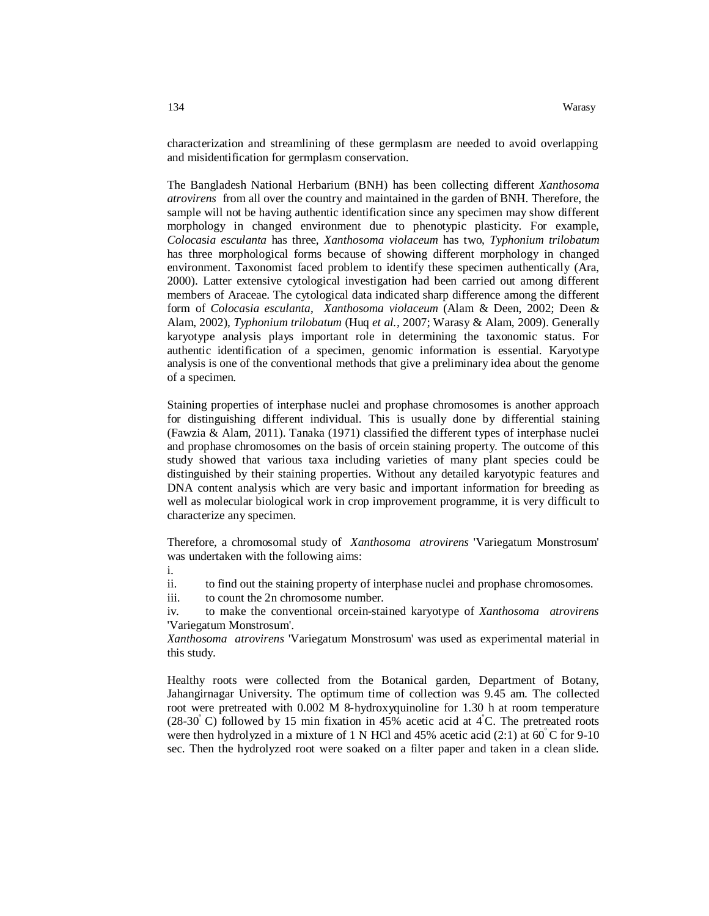characterization and streamlining of these germplasm are needed to avoid overlapping and misidentification for germplasm conservation.

The Bangladesh National Herbarium (BNH) has been collecting different *Xanthosoma atrovirens* from all over the country and maintained in the garden of BNH. Therefore, the sample will not be having authentic identification since any specimen may show different morphology in changed environment due to phenotypic plasticity. For example, *Coloca*s*ia esculanta* has three, *Xanthosoma violaceum* has two, *Typhonium trilobatum* has three morphological forms because of showing different morphology in changed environment. Taxonomist faced problem to identify these specimen authentically (Ara, 2000). Latter extensive cytological investigation had been carried out among different members of Araceae. The cytological data indicated sharp difference among the different form of *Coloca*s*ia esculanta*, *Xanthosoma violaceum* (Alam & Deen, 2002; Deen & Alam, 2002), *Typhonium trilobatum* (Huq *et al.,* 2007; Warasy & Alam, 2009). Generally karyotype analysis plays important role in determining the taxonomic status. For authentic identification of a specimen, genomic information is essential. Karyotype analysis is one of the conventional methods that give a preliminary idea about the genome of a specimen.

Staining properties of interphase nuclei and prophase chromosomes is another approach for distinguishing different individual. This is usually done by differential staining (Fawzia & Alam, 2011). Tanaka (1971) classified the different types of interphase nuclei and prophase chromosomes on the basis of orcein staining property. The outcome of this study showed that various taxa including varieties of many plant species could be distinguished by their staining properties. Without any detailed karyotypic features and DNA content analysis which are very basic and important information for breeding as well as molecular biological work in crop improvement programme, it is very difficult to characterize any specimen.

Therefore, a chromosomal study of *Xanthosoma atrovirens* 'Variegatum Monstrosum' was undertaken with the following aims:

i.

ii. to find out the staining property of interphase nuclei and prophase chromosomes.

iii. to count the 2n chromosome number.

iv. to make the conventional orcein-stained karyotype of *Xanthosoma atrovirens*  'Variegatum Monstrosum'.

*Xanthosoma atrovirens* 'Variegatum Monstrosum' was used as experimental material in this study.

Healthy roots were collected from the Botanical garden, Department of Botany, Jahangirnagar University. The optimum time of collection was 9.45 am. The collected root were pretreated with 0.002 M 8-hydroxyquinoline for 1.30 h at room temperature (28-30 $\degree$ C) followed by 15 min fixation in 45% acetic acid at 4 $\degree$ C. The pretreated roots were then hydrolyzed in a mixture of 1 N HCl and 45% acetic acid (2:1) at 60 °C for 9-10 sec. Then the hydrolyzed root were soaked on a filter paper and taken in a clean slide.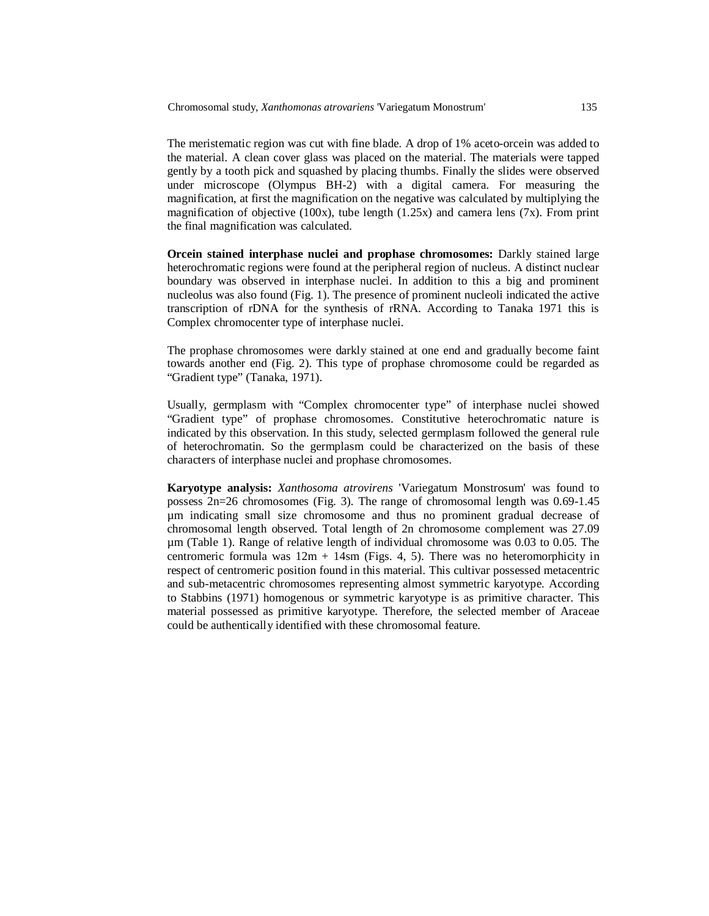The meristematic region was cut with fine blade. A drop of 1% aceto-orcein was added to the material. A clean cover glass was placed on the material. The materials were tapped gently by a tooth pick and squashed by placing thumbs. Finally the slides were observed under microscope (Olympus BH-2) with a digital camera. For measuring the magnification, at first the magnification on the negative was calculated by multiplying the magnification of objective (100x), tube length (1.25x) and camera lens (7x). From print the final magnification was calculated.

**Orcein stained interphase nuclei and prophase chromosomes:** Darkly stained large heterochromatic regions were found at the peripheral region of nucleus. A distinct nuclear boundary was observed in interphase nuclei. In addition to this a big and prominent nucleolus was also found (Fig. 1). The presence of prominent nucleoli indicated the active transcription of rDNA for the synthesis of rRNA. According to Tanaka 1971 this is Complex chromocenter type of interphase nuclei.

The prophase chromosomes were darkly stained at one end and gradually become faint towards another end (Fig. 2). This type of prophase chromosome could be regarded as "Gradient type" (Tanaka, 1971).

Usually, germplasm with "Complex chromocenter type" of interphase nuclei showed "Gradient type" of prophase chromosomes. Constitutive heterochromatic nature is indicated by this observation. In this study, selected germplasm followed the general rule of heterochromatin. So the germplasm could be characterized on the basis of these characters of interphase nuclei and prophase chromosomes.

**Karyotype analysis:** *Xanthosoma atrovirens* 'Variegatum Monstrosum' was found to possess 2n=26 chromosomes (Fig. 3). The range of chromosomal length was 0.69-1.45 µm indicating small size chromosome and thus no prominent gradual decrease of chromosomal length observed. Total length of 2n chromosome complement was 27.09 µm (Table 1). Range of relative length of individual chromosome was 0.03 to 0.05. The centromeric formula was  $12m + 14$ sm (Figs. 4, 5). There was no heteromorphicity in respect of centromeric position found in this material. This cultivar possessed metacentric and sub-metacentric chromosomes representing almost symmetric karyotype. According to Stabbins (1971) homogenous or symmetric karyotype is as primitive character. This material possessed as primitive karyotype. Therefore, the selected member of Araceae could be authentically identified with these chromosomal feature.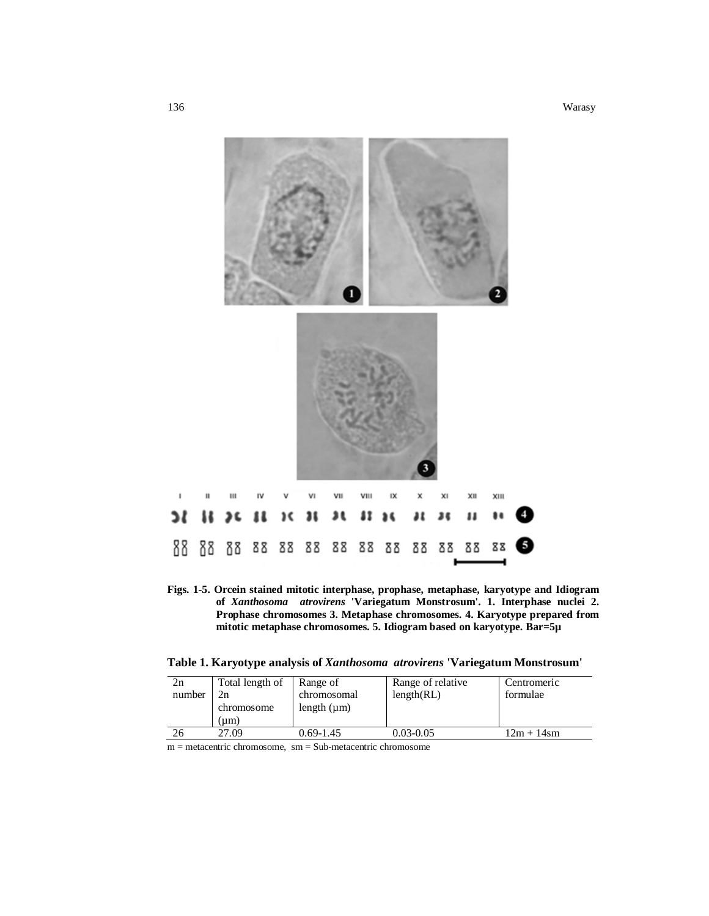

**Figs. 1-5. Orcein stained mitotic interphase, prophase, metaphase, karyotype and Idiogram of** *Xanthosoma atrovirens* **'Variegatum Monstrosum'. 1. Interphase nuclei 2. Prophase chromosomes 3. Metaphase chromosomes. 4. Karyotype prepared from mitotic metaphase chromosomes. 5. Idiogram based on karyotype. Bar=5µ** 

**Table 1. Karyotype analysis of** *Xanthosoma atrovirens* **'Variegatum Monstrosum'**

| 2n<br>number | Total length of<br>2n<br>chromosome<br>(um) | Range of<br>chromosomal<br>length $(\mu m)$ | Range of relative<br>length(RL) | Centromeric<br>formulae |
|--------------|---------------------------------------------|---------------------------------------------|---------------------------------|-------------------------|
| 26           | 27.09                                       | $0.69 - 1.45$                               | $0.03 - 0.05$                   | l2m + 14sm              |

m = metacentric chromosome, sm = Sub-metacentric chromosome